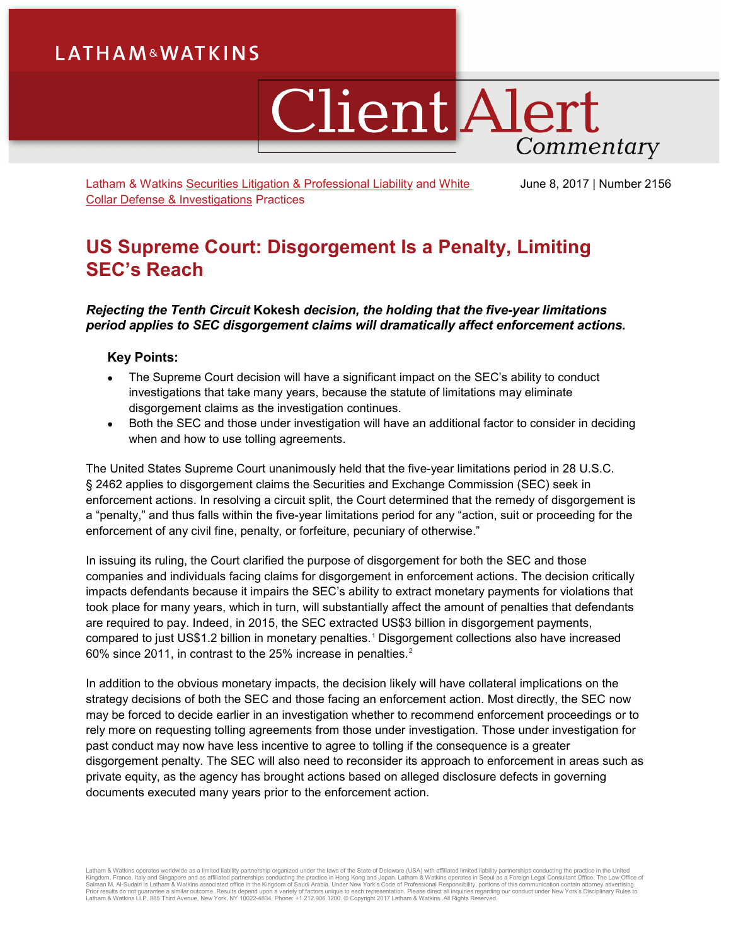# **LATHAM&WATKINS**

# **Client Alert** Commentary

Latham & Watkins [Securities Litigation & Professional Liability](https://www.lw.com/practices/SecuritiesLitigationandProfessionalLiability) and [White](https://www.lw.com/practices/WhiteCollarDefenseandInvestigations)  [Collar Defense & Investigations](https://www.lw.com/practices/WhiteCollarDefenseandInvestigations) Practices

June 8, 2017 | Number 2156

## **US Supreme Court: Disgorgement Is a Penalty, Limiting SEC's Reach**

## *Rejecting the Tenth Circuit* **Kokesh** *decision, the holding that the five-year limitations period applies to SEC disgorgement claims will dramatically affect enforcement actions.*

## **Key Points:**

- The Supreme Court decision will have a significant impact on the SEC's ability to conduct investigations that take many years, because the statute of limitations may eliminate disgorgement claims as the investigation continues.
- Both the SEC and those under investigation will have an additional factor to consider in deciding when and how to use tolling agreements.

The United States Supreme Court unanimously held that the five-year limitations period in 28 U.S.C. § 2462 applies to disgorgement claims the Securities and Exchange Commission (SEC) seek in enforcement actions. In resolving a circuit split, the Court determined that the remedy of disgorgement is a "penalty," and thus falls within the five-year limitations period for any "action, suit or proceeding for the enforcement of any civil fine, penalty, or forfeiture, pecuniary of otherwise."

In issuing its ruling, the Court clarified the purpose of disgorgement for both the SEC and those companies and individuals facing claims for disgorgement in enforcement actions. The decision critically impacts defendants because it impairs the SEC's ability to extract monetary payments for violations that took place for many years, which in turn, will substantially affect the amount of penalties that defendants are required to pay. Indeed, in 2015, the SEC extracted US\$3 billion in disgorgement payments, compared to just US\$1.2 billion in monetary penalties.[1](#page-3-0) Disgorgement collections also have increased 60% since [2](#page-3-1)011, in contrast to the 25% increase in penalties.<sup>2</sup>

In addition to the obvious monetary impacts, the decision likely will have collateral implications on the strategy decisions of both the SEC and those facing an enforcement action. Most directly, the SEC now may be forced to decide earlier in an investigation whether to recommend enforcement proceedings or to rely more on requesting tolling agreements from those under investigation. Those under investigation for past conduct may now have less incentive to agree to tolling if the consequence is a greater disgorgement penalty. The SEC will also need to reconsider its approach to enforcement in areas such as private equity, as the agency has brought actions based on alleged disclosure defects in governing documents executed many years prior to the enforcement action.

Latham & Watkins operates worldwide as a limited liability partnership organized under the laws of the State of Delaware (USA) with affiliated partnerships conducting the practice in Hong Kong and Japan. Latham & Watkins o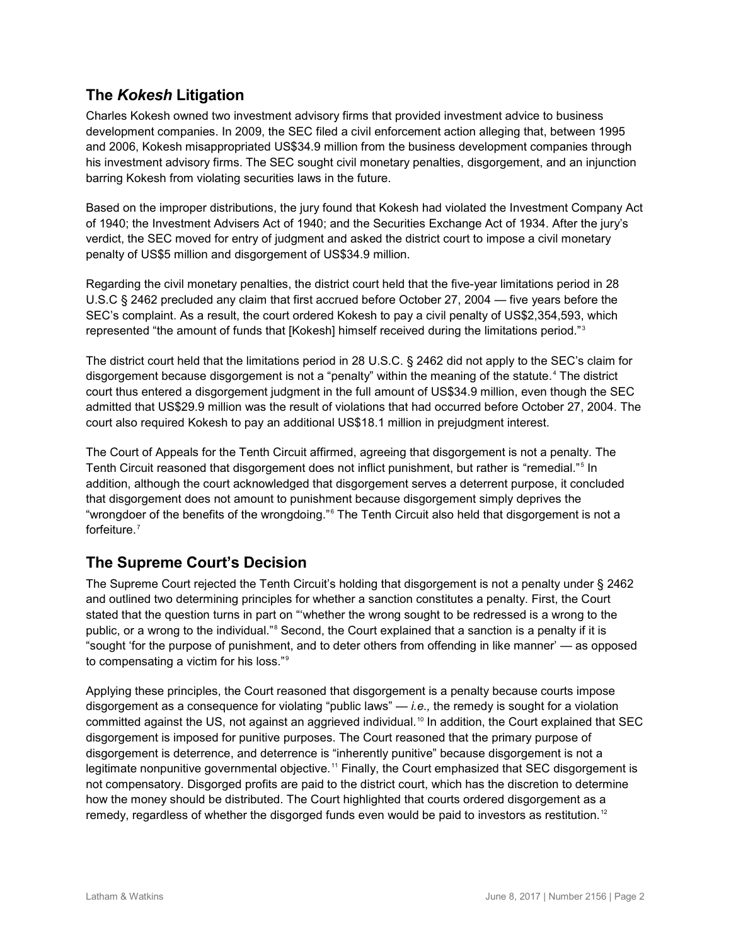## **The** *Kokesh* **Litigation**

Charles Kokesh owned two investment advisory firms that provided investment advice to business development companies. In 2009, the SEC filed a civil enforcement action alleging that, between 1995 and 2006, Kokesh misappropriated US\$34.9 million from the business development companies through his investment advisory firms. The SEC sought civil monetary penalties, disgorgement, and an injunction barring Kokesh from violating securities laws in the future.

Based on the improper distributions, the jury found that Kokesh had violated the Investment Company Act of 1940; the Investment Advisers Act of 1940; and the Securities Exchange Act of 1934. After the jury's verdict, the SEC moved for entry of judgment and asked the district court to impose a civil monetary penalty of US\$5 million and disgorgement of US\$34.9 million.

Regarding the civil monetary penalties, the district court held that the five-year limitations period in 28 U.S.C § 2462 precluded any claim that first accrued before October 27, 2004 — five years before the SEC's complaint. As a result, the court ordered Kokesh to pay a civil penalty of US\$2,354,593, which represented "the amount of funds that [Kokesh] himself received during the limitations period."<sup>[3](#page-3-2)</sup>

The district court held that the limitations period in 28 U.S.C. § 2462 did not apply to the SEC's claim for disgorgement because disgorgement is not a "penalty" within the meaning of the statute.<sup>[4](#page-3-3)</sup> The district court thus entered a disgorgement judgment in the full amount of US\$34.9 million, even though the SEC admitted that US\$29.9 million was the result of violations that had occurred before October 27, 2004. The court also required Kokesh to pay an additional US\$18.1 million in prejudgment interest.

The Court of Appeals for the Tenth Circuit affirmed, agreeing that disgorgement is not a penalty. The Tenth Circuit reasoned that disgorgement does not inflict punishment, but rather is "remedial."<sup>[5](#page-3-4)</sup> In addition, although the court acknowledged that disgorgement serves a deterrent purpose, it concluded that disgorgement does not amount to punishment because disgorgement simply deprives the "wrongdoer of the benefits of the wrongdoing." [6](#page-3-5) The Tenth Circuit also held that disgorgement is not a forfeiture.[7](#page-3-6)

## **The Supreme Court's Decision**

The Supreme Court rejected the Tenth Circuit's holding that disgorgement is not a penalty under § 2462 and outlined two determining principles for whether a sanction constitutes a penalty. First, the Court stated that the question turns in part on "'whether the wrong sought to be redressed is a wrong to the public, or a wrong to the individual."<sup>[8](#page-3-7)</sup> Second, the Court explained that a sanction is a penalty if it is "sought 'for the purpose of punishment, and to deter others from offending in like manner' — as opposed to compensating a victim for his loss."[9](#page-3-8)

Applying these principles, the Court reasoned that disgorgement is a penalty because courts impose disgorgement as a consequence for violating "public laws" — *i.e.,* the remedy is sought for a violation committed against the US, not against an aggrieved individual.<sup>[10](#page-3-9)</sup> In addition, the Court explained that SEC disgorgement is imposed for punitive purposes. The Court reasoned that the primary purpose of disgorgement is deterrence, and deterrence is "inherently punitive" because disgorgement is not a legitimate nonpunitive governmental objective.<sup>[11](#page-3-10)</sup> Finally, the Court emphasized that SEC disgorgement is not compensatory. Disgorged profits are paid to the district court, which has the discretion to determine how the money should be distributed. The Court highlighted that courts ordered disgorgement as a remedy, regardless of whether the disgorged funds even would be paid to investors as restitution.<sup>[12](#page-3-11)</sup>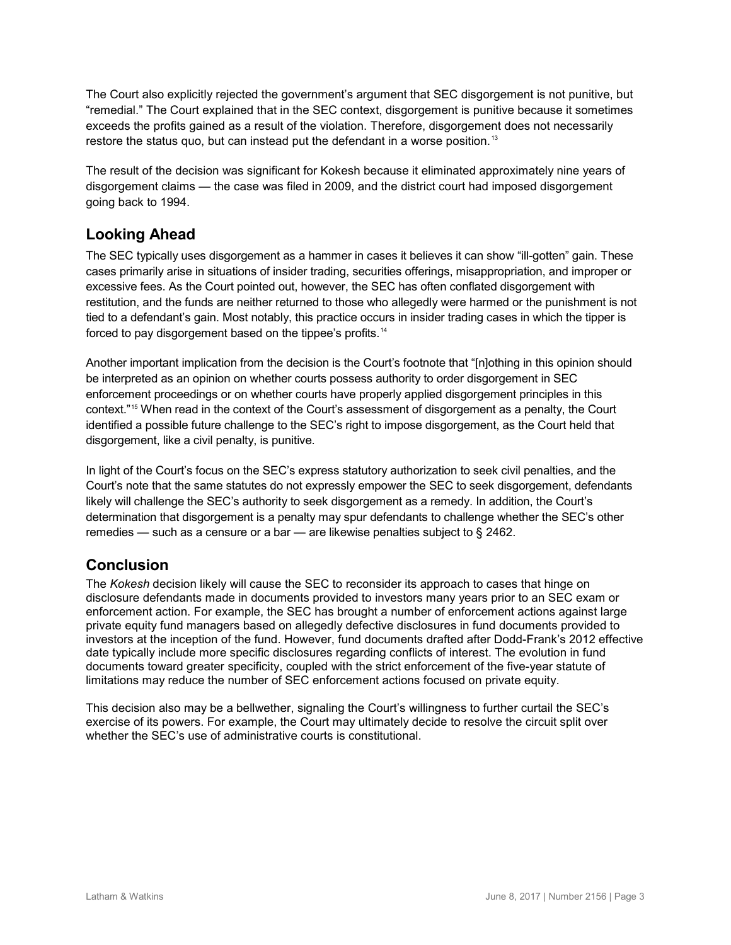The Court also explicitly rejected the government's argument that SEC disgorgement is not punitive, but "remedial." The Court explained that in the SEC context, disgorgement is punitive because it sometimes exceeds the profits gained as a result of the violation. Therefore, disgorgement does not necessarily restore the status quo, but can instead put the defendant in a worse position.<sup>[13](#page-3-12)</sup>

The result of the decision was significant for Kokesh because it eliminated approximately nine years of disgorgement claims — the case was filed in 2009, and the district court had imposed disgorgement going back to 1994.

## **Looking Ahead**

The SEC typically uses disgorgement as a hammer in cases it believes it can show "ill-gotten" gain. These cases primarily arise in situations of insider trading, securities offerings, misappropriation, and improper or excessive fees. As the Court pointed out, however, the SEC has often conflated disgorgement with restitution, and the funds are neither returned to those who allegedly were harmed or the punishment is not tied to a defendant's gain. Most notably, this practice occurs in insider trading cases in which the tipper is forced to pay disgorgement based on the tippee's profits.<sup>[14](#page-3-13)</sup>

Another important implication from the decision is the Court's footnote that "[n]othing in this opinion should be interpreted as an opinion on whether courts possess authority to order disgorgement in SEC enforcement proceedings or on whether courts have properly applied disgorgement principles in this context."[15](#page-3-14) When read in the context of the Court's assessment of disgorgement as a penalty, the Court identified a possible future challenge to the SEC's right to impose disgorgement, as the Court held that disgorgement, like a civil penalty, is punitive.

In light of the Court's focus on the SEC's express statutory authorization to seek civil penalties, and the Court's note that the same statutes do not expressly empower the SEC to seek disgorgement, defendants likely will challenge the SEC's authority to seek disgorgement as a remedy. In addition, the Court's determination that disgorgement is a penalty may spur defendants to challenge whether the SEC's other remedies — such as a censure or a bar — are likewise penalties subject to § 2462.

## **Conclusion**

The *Kokesh* decision likely will cause the SEC to reconsider its approach to cases that hinge on disclosure defendants made in documents provided to investors many years prior to an SEC exam or enforcement action. For example, the SEC has brought a number of enforcement actions against large private equity fund managers based on allegedly defective disclosures in fund documents provided to investors at the inception of the fund. However, fund documents drafted after Dodd-Frank's 2012 effective date typically include more specific disclosures regarding conflicts of interest. The evolution in fund documents toward greater specificity, coupled with the strict enforcement of the five-year statute of limitations may reduce the number of SEC enforcement actions focused on private equity.

This decision also may be a bellwether, signaling the Court's willingness to further curtail the SEC's exercise of its powers. For example, the Court may ultimately decide to resolve the circuit split over whether the SEC's use of administrative courts is constitutional.